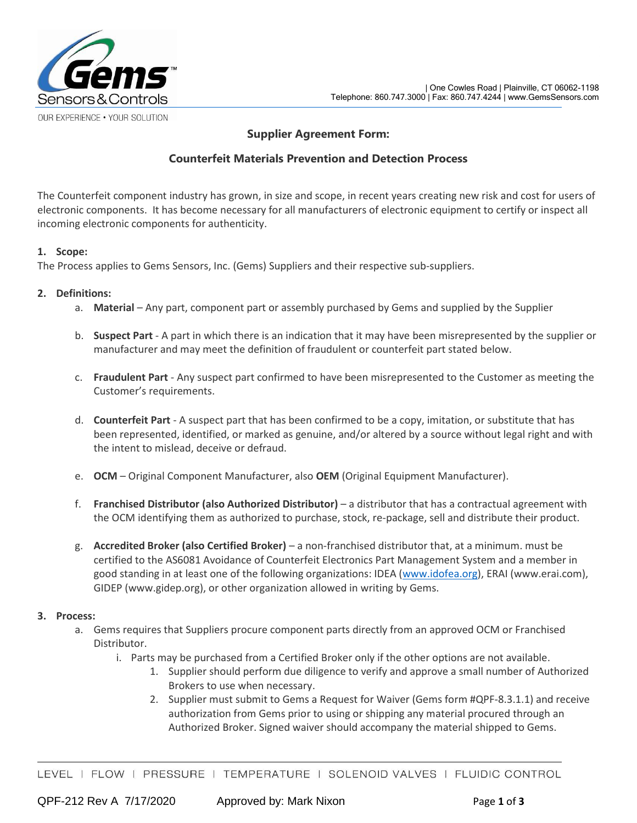

# **Supplier Agreement Form:**

# **Counterfeit Materials Prevention and Detection Process**

The Counterfeit component industry has grown, in size and scope, in recent years creating new risk and cost for users of electronic components. It has become necessary for all manufacturers of electronic equipment to certify or inspect all incoming electronic components for authenticity.

#### **1. Scope:**

The Process applies to Gems Sensors, Inc. (Gems) Suppliers and their respective sub-suppliers.

#### **2. Definitions:**

- a. **Material** Any part, component part or assembly purchased by Gems and supplied by the Supplier
- b. **Suspect Part** A part in which there is an indication that it may have been misrepresented by the supplier or manufacturer and may meet the definition of fraudulent or counterfeit part stated below.
- c. **Fraudulent Part**  Any suspect part confirmed to have been misrepresented to the Customer as meeting the Customer's requirements.
- d. **Counterfeit Part** A suspect part that has been confirmed to be a copy, imitation, or substitute that has been represented, identified, or marked as genuine, and/or altered by a source without legal right and with the intent to mislead, deceive or defraud.
- e. **OCM**  Original Component Manufacturer, also **OEM** (Original Equipment Manufacturer).
- f. **Franchised Distributor (also Authorized Distributor)** a distributor that has a contractual agreement with the OCM identifying them as authorized to purchase, stock, re-package, sell and distribute their product.
- g. **Accredited Broker (also Certified Broker)** a non-franchised distributor that, at a minimum. must be certified to the AS6081 Avoidance of Counterfeit Electronics Part Management System and a member in good standing in at least one of the following organizations: IDEA [\(www.idofea.org\)](http://www.idofea.org/), ERAI (www.erai.com), GIDEP (www.gidep.org), or other organization allowed in writing by Gems.

### **3. Process:**

- a. Gems requires that Suppliers procure component parts directly from an approved OCM or Franchised Distributor.
	- i. Parts may be purchased from a Certified Broker only if the other options are not available.
		- 1. Supplier should perform due diligence to verify and approve a small number of Authorized Brokers to use when necessary.
		- 2. Supplier must submit to Gems a Request for Waiver (Gems form #QPF-8.3.1.1) and receive authorization from Gems prior to using or shipping any material procured through an Authorized Broker. Signed waiver should accompany the material shipped to Gems.

LEVEL | FLOW | PRESSURE | TEMPERATURE | SOLENOID VALVES | FLUIDIC CONTROL

QPF-212 Rev A 7/17/2020 Approved by: Mark Nixon Page **1** of **3**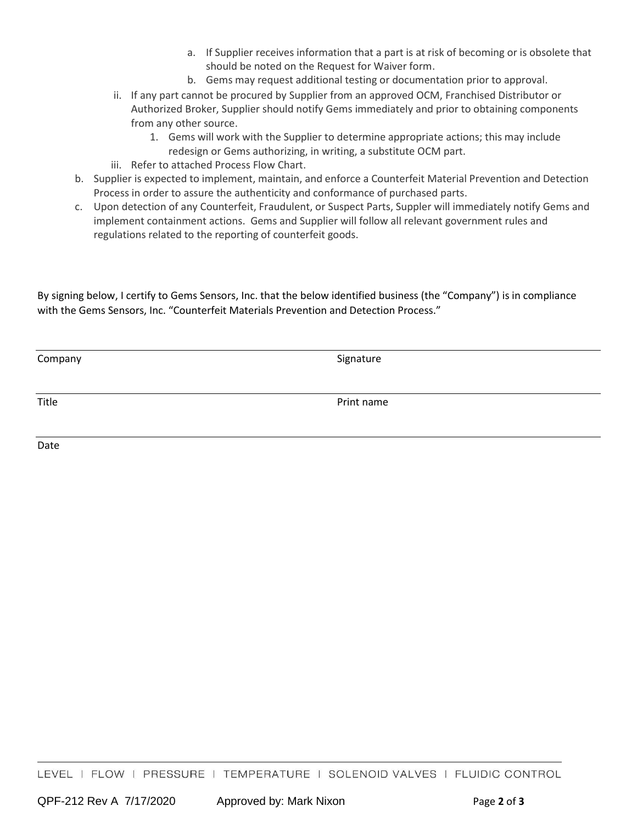- a. If Supplier receives information that a part is at risk of becoming or is obsolete that should be noted on the Request for Waiver form.
- b. Gems may request additional testing or documentation prior to approval.
- ii. If any part cannot be procured by Supplier from an approved OCM, Franchised Distributor or Authorized Broker, Supplier should notify Gems immediately and prior to obtaining components from any other source.
	- 1. Gems will work with the Supplier to determine appropriate actions; this may include redesign or Gems authorizing, in writing, a substitute OCM part.
- iii. Refer to attached Process Flow Chart.
- b. Supplier is expected to implement, maintain, and enforce a Counterfeit Material Prevention and Detection Process in order to assure the authenticity and conformance of purchased parts.
- c. Upon detection of any Counterfeit, Fraudulent, or Suspect Parts, Suppler will immediately notify Gems and implement containment actions. Gems and Supplier will follow all relevant government rules and regulations related to the reporting of counterfeit goods.

By signing below, I certify to Gems Sensors, Inc. that the below identified business (the "Company") is in compliance with the Gems Sensors, Inc. "Counterfeit Materials Prevention and Detection Process."

| Company | Signature  |
|---------|------------|
| Title   | Print name |

Date

LEVEL | FLOW | PRESSURE | TEMPERATURE | SOLENOID VALVES | FLUIDIC CONTROL